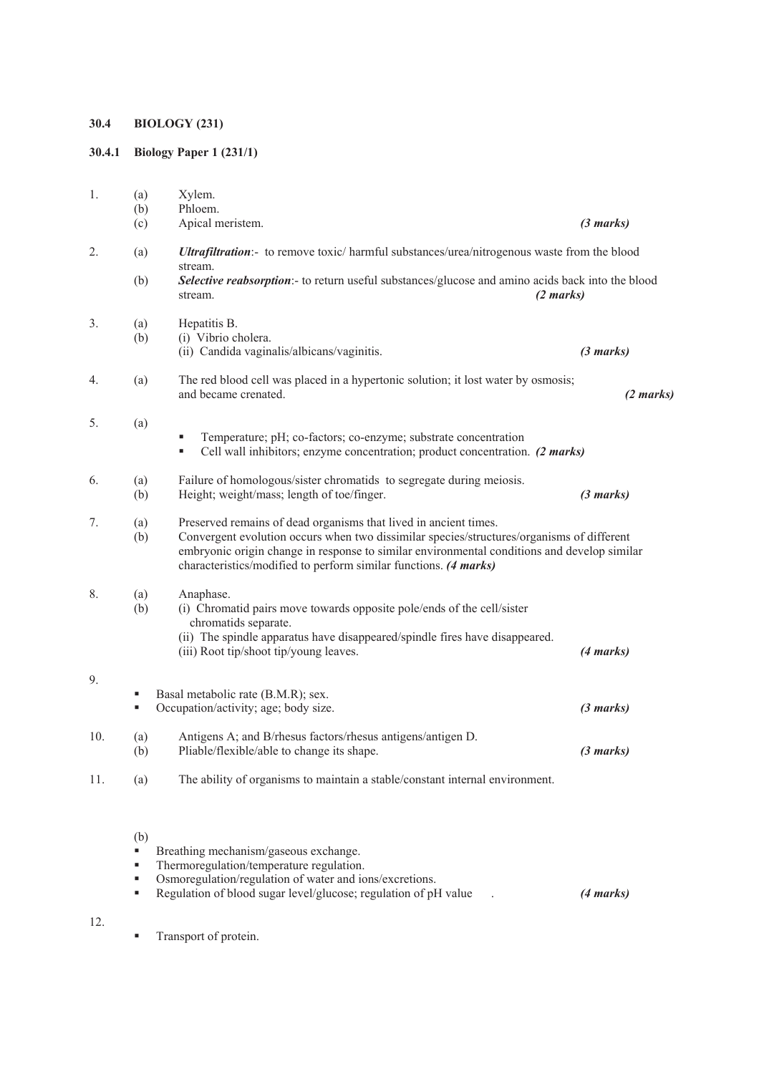# **30.4 BIOLOGY (231)**

# **30.4.1 Biology Paper 1 (231/1)**

| 1.  | (a)        | Xylem.                                                                                                                                                                                                                                                                                                                           |           |
|-----|------------|----------------------------------------------------------------------------------------------------------------------------------------------------------------------------------------------------------------------------------------------------------------------------------------------------------------------------------|-----------|
|     | (b)        | Phloem.                                                                                                                                                                                                                                                                                                                          |           |
|     | (c)        | Apical meristem.                                                                                                                                                                                                                                                                                                                 | (3 marks) |
| 2.  | (a)        | Ultrafiltration:- to remove toxic/ harmful substances/urea/nitrogenous waste from the blood<br>stream.                                                                                                                                                                                                                           |           |
|     | (b)        | Selective reabsorption:- to return useful substances/glucose and amino acids back into the blood<br>$(2 \text{ marks})$<br>stream.                                                                                                                                                                                               |           |
| 3.  | (a)        | Hepatitis B.                                                                                                                                                                                                                                                                                                                     |           |
|     | (b)        | (i) Vibrio cholera.<br>(ii) Candida vaginalis/albicans/vaginitis.                                                                                                                                                                                                                                                                | (3 marks) |
| 4.  | (a)        | The red blood cell was placed in a hypertonic solution; it lost water by osmosis;<br>and became crenated.                                                                                                                                                                                                                        | (2 marks) |
| 5.  | (a)        | Temperature; pH; co-factors; co-enzyme; substrate concentration<br>Cell wall inhibitors; enzyme concentration; product concentration. (2 marks)<br>٠                                                                                                                                                                             |           |
| 6.  | (a)<br>(b) | Failure of homologous/sister chromatids to segregate during meiosis.<br>Height; weight/mass; length of toe/finger.                                                                                                                                                                                                               | (3 marks) |
| 7.  | (a)<br>(b) | Preserved remains of dead organisms that lived in ancient times.<br>Convergent evolution occurs when two dissimilar species/structures/organisms of different<br>embryonic origin change in response to similar environmental conditions and develop similar<br>characteristics/modified to perform similar functions. (4 marks) |           |
| 8.  | (a)<br>(b) | Anaphase.<br>(i) Chromatid pairs move towards opposite pole/ends of the cell/sister<br>chromatids separate.<br>(ii) The spindle apparatus have disappeared/spindle fires have disappeared.<br>(iii) Root tip/shoot tip/young leaves.                                                                                             | (4 marks) |
| 9.  |            |                                                                                                                                                                                                                                                                                                                                  |           |
|     | ٠<br>٠     | Basal metabolic rate (B.M.R); sex.<br>Occupation/activity; age; body size.                                                                                                                                                                                                                                                       | (3 marks) |
| 10. | (a)<br>(b) | Antigens A; and B/rhesus factors/rhesus antigens/antigen D.<br>Pliable/flexible/able to change its shape.                                                                                                                                                                                                                        | (3 marks) |
| 11. | (a)        | The ability of organisms to maintain a stable/constant internal environment.                                                                                                                                                                                                                                                     |           |
|     | (b)<br>٠   | Breathing mechanism/gaseous exchange.                                                                                                                                                                                                                                                                                            |           |
|     | ٠          | Thermoregulation/temperature regulation.                                                                                                                                                                                                                                                                                         |           |
|     | ٠          | Osmoregulation/regulation of water and ions/excretions.                                                                                                                                                                                                                                                                          |           |
|     | ٠          | Regulation of blood sugar level/glucose; regulation of pH value                                                                                                                                                                                                                                                                  | (4 marks) |

12.

**Transport of protein.**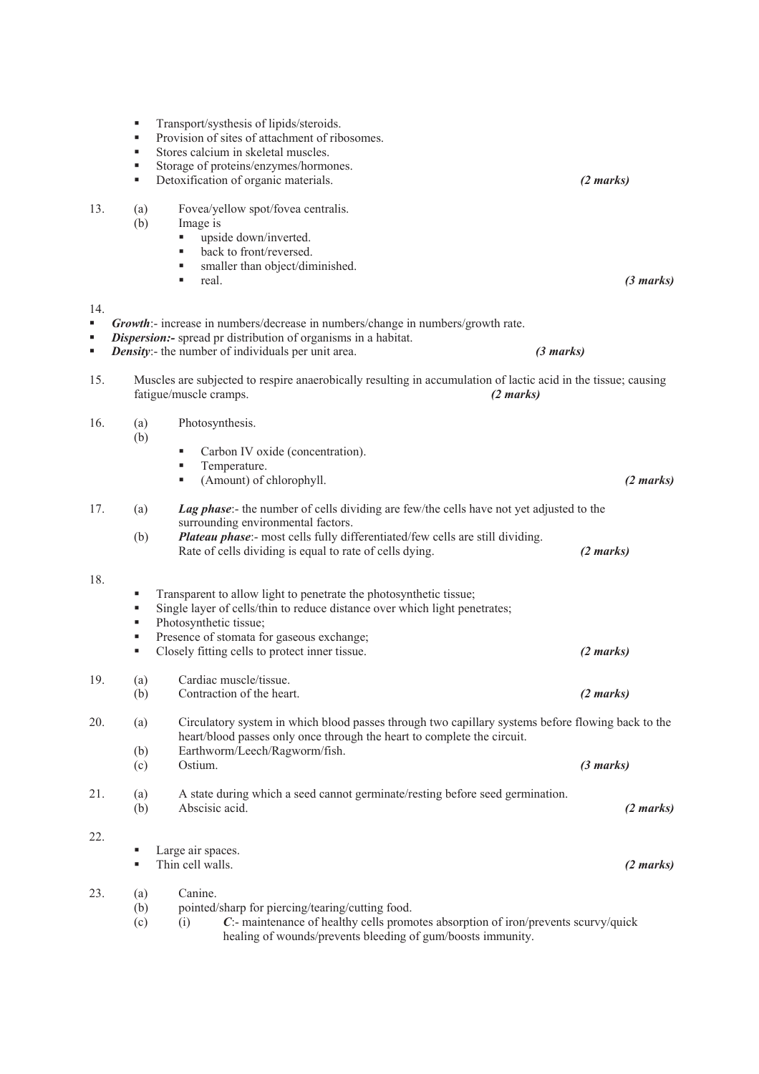Transport/systhesis of lipids/steroids. Provision of sites of attachment of ribosomes.<br>Stores calcium in skeletal muscles Stores calcium in skeletal muscles. Storage of proteins/enzymes/hormones. Detoxification of organic materials. *(2 marks) (2 marks)* 13. (a) Fovea/yellow spot/fovea centralis. (b) Image is upside down/inverted. ■ back to front/reversed. • smaller than object/diminished. real. *(3 marks)* 14. *Growth*:- increase in numbers/decrease in numbers/change in numbers/growth rate. *Dispersion:-* spread pr distribution of organisms in a habitat. *Density*:- the number of individuals per unit area. *(3 marks)* 15. Muscles are subjected to respire anaerobically resulting in accumulation of lactic acid in the tissue; causing fatigue/muscle cramps. *(2 marks)*  16. (a) Photosynthesis. (b) Carbon IV oxide (concentration). **Temperature.**  (Amount) of chlorophyll. *(2 marks)* 17. (a) *Lag phase*:- the number of cells dividing are few/the cells have not yet adjusted to the surrounding environmental factors. (b) *Plateau phase*:- most cells fully differentiated/few cells are still dividing. Rate of cells dividing is equal to rate of cells dying. *(2 marks)* 18. **Transparent to allow light to penetrate the photosynthetic tissue;** Single layer of cells/thin to reduce distance over which light penetrates; • Photosynthetic tissue: **Presence of stomata for gaseous exchange:**  Closely fitting cells to protect inner tissue. *(2 marks)*  19. (a) Cardiac muscle/tissue. (b) Contraction of the heart. *(2 marks)* 20. (a) Circulatory system in which blood passes through two capillary systems before flowing back to the heart/blood passes only once through the heart to complete the circuit. (b) Earthworm/Leech/Ragworm/fish. (c) Ostium. *(3 marks)* 21. (a) A state during which a seed cannot germinate/resting before seed germination. (b) Abscisic acid. *(2 marks)* 22. **Large air spaces.**  Thin cell walls. *(2 marks)* 23. (a) Canine. (b) pointed/sharp for piercing/tearing/cutting food. (c) (i) *C*:- maintenance of healthy cells promotes absorption of iron/prevents scurvy/quick healing of wounds/prevents bleeding of gum/boosts immunity.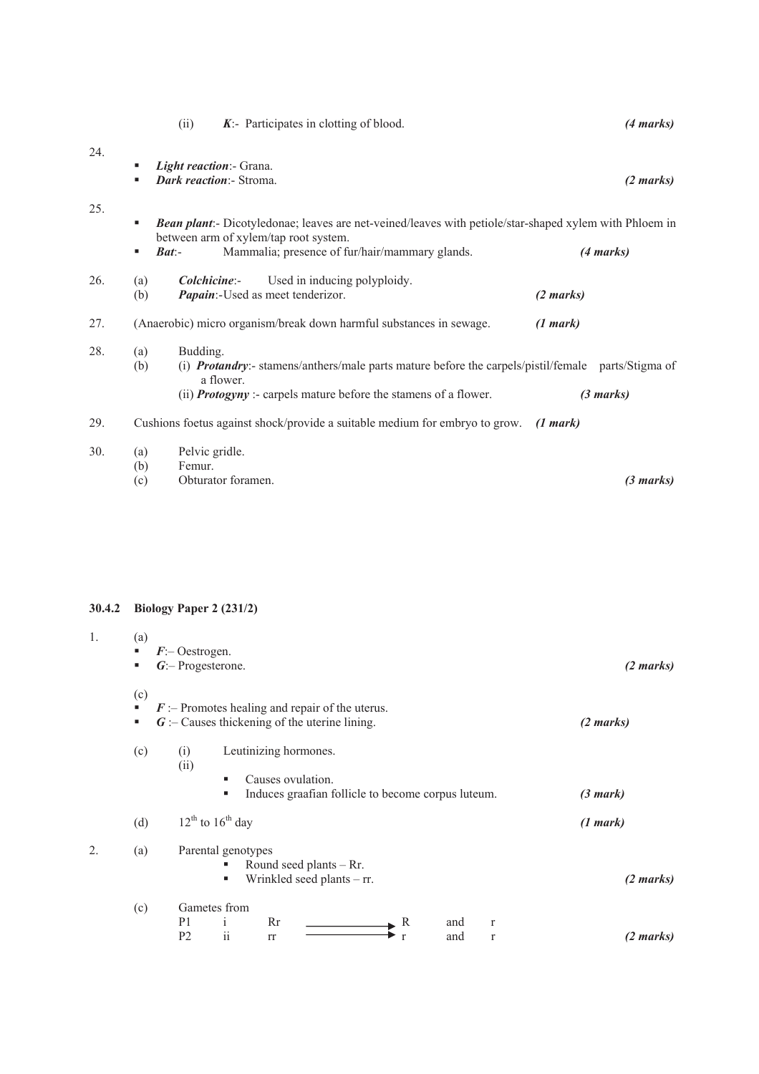|     | (ii)                                                         | $K$ :- Participates in clotting of blood.                                                                                                                                             | (4 marks)           |
|-----|--------------------------------------------------------------|---------------------------------------------------------------------------------------------------------------------------------------------------------------------------------------|---------------------|
| 24. | Light reaction:- Grana.<br>٠<br>Dark reaction:- Stroma.<br>٠ |                                                                                                                                                                                       | $(2 \text{ marks})$ |
| 25. | ٠                                                            | <b>Bean plant:</b> - Dicotyledonae; leaves are net-veined/leaves with petiole/star-shaped xylem with Phloem in<br>between arm of xylem/tap root system.                               |                     |
|     | $\mathbf{B}at$ -<br>٠                                        | Mammalia; presence of fur/hair/mammary glands.                                                                                                                                        | (4 marks)           |
| 26. | <i>Colchicine:-</i><br>(a)<br>(b)                            | Used in inducing polyploidy.<br>Papain:-Used as meet tenderizor.                                                                                                                      | $(2 \text{ marks})$ |
| 27. |                                                              | (Anaerobic) micro organism/break down harmful substances in sewage.                                                                                                                   | (1 mark)            |
| 28. | Budding.<br>(a)<br>(b)<br>a flower.                          | (i) <b>Protandry:</b> - stamens/anthers/male parts mature before the carpels/pistil/female parts/Stigma of<br>(ii) <b>Protogyny</b> :- carpels mature before the stamens of a flower. | $(3 \text{ marks})$ |
| 29. |                                                              | Cushions foetus against shock/provide a suitable medium for embryo to grow.                                                                                                           | (1 mark)            |
| 30. | Pelvic gridle.<br>(a)<br>Femur.<br>(b)<br>(c)                | Obturator foramen.                                                                                                                                                                    | (3 marks)           |

# **30.4.2 Biology Paper 2 (231/2)**

| 1. | (a)<br>٠<br>٠ | $F$ : Oestrogen.<br>$G$ :- Progesterone.                                                                                              | $(2 \text{ marks})$ |
|----|---------------|---------------------------------------------------------------------------------------------------------------------------------------|---------------------|
|    | (c)<br>٠<br>٠ | $\mathbf{F}$ :- Promotes healing and repair of the uterus.<br>$G$ :- Causes thickening of the uterine lining.                         | (2 marks)           |
|    | (c)           | Leutinizing hormones.<br>(i)<br>(ii)<br>Causes ovulation.<br>п<br>Induces graafian follicle to become corpus luteum.<br>п             | (3 mark)            |
|    | (d)           | $12^{th}$ to $16^{th}$ day                                                                                                            | (1 mark)            |
| 2. | (a)           | Parental genotypes<br>Round seed plants $-$ Rr.<br>Wrinkled seed plants $-$ rr.<br>п                                                  | $(2 \text{ marks})$ |
|    | (c)           | Gametes from<br>P <sub>1</sub><br>Rr<br>R<br>and<br>$\mathbf{r}$<br>$\mathbf{1}$<br>$\rm ii$<br>P <sub>2</sub><br>and<br>rr<br>r<br>r | (2 marks)           |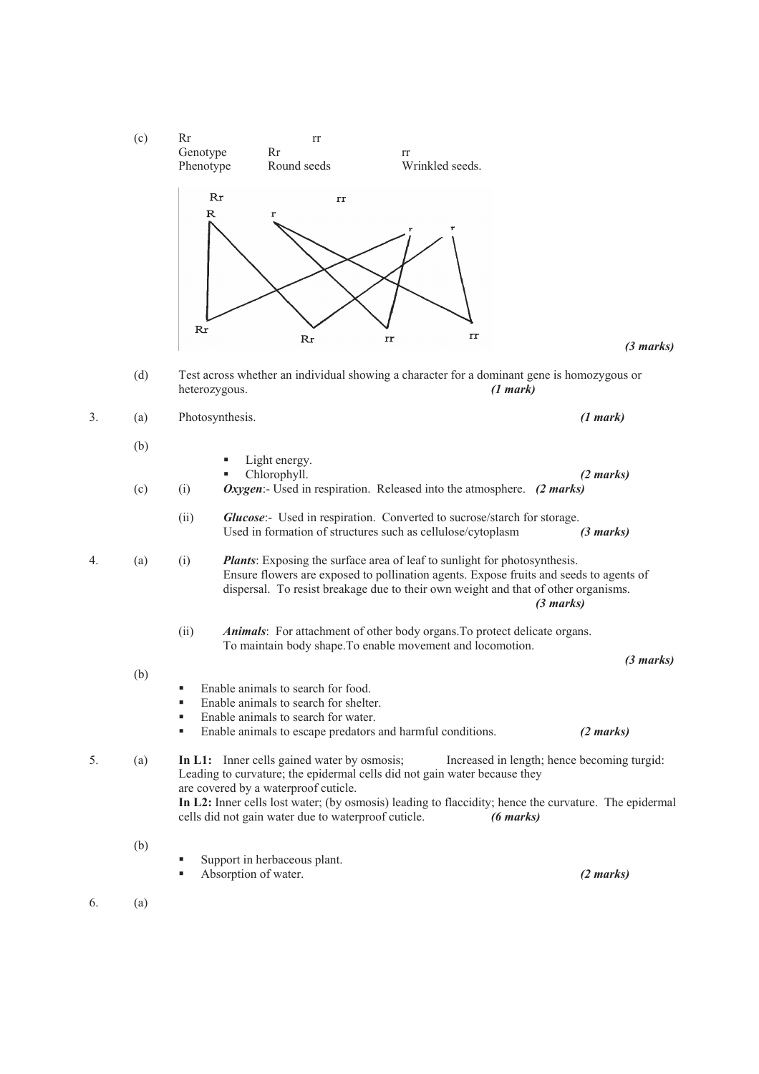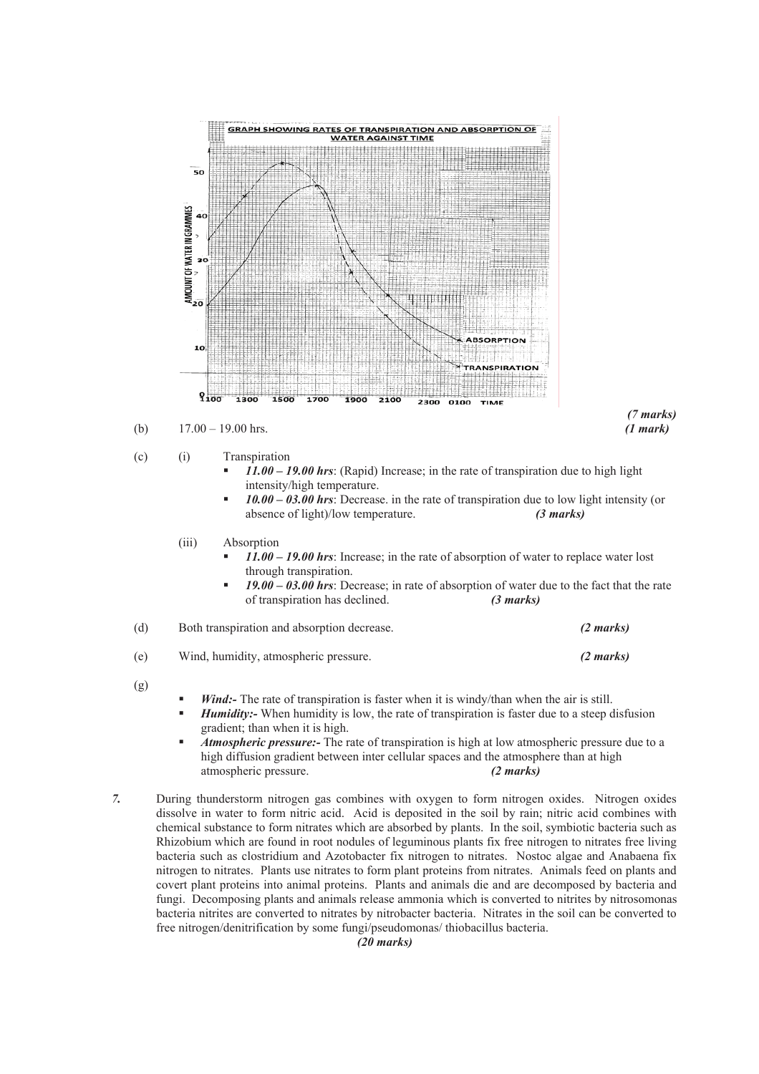

- *Atmospheric pressure:-* The rate of transpiration is high at low atmospheric pressure due to a high diffusion gradient between inter cellular spaces and the atmosphere than at high atmospheric pressure. *(2 marks)*
- *7.* During thunderstorm nitrogen gas combines with oxygen to form nitrogen oxides. Nitrogen oxides dissolve in water to form nitric acid. Acid is deposited in the soil by rain; nitric acid combines with chemical substance to form nitrates which are absorbed by plants. In the soil, symbiotic bacteria such as Rhizobium which are found in root nodules of leguminous plants fix free nitrogen to nitrates free living bacteria such as clostridium and Azotobacter fix nitrogen to nitrates. Nostoc algae and Anabaena fix nitrogen to nitrates. Plants use nitrates to form plant proteins from nitrates. Animals feed on plants and covert plant proteins into animal proteins. Plants and animals die and are decomposed by bacteria and fungi. Decomposing plants and animals release ammonia which is converted to nitrites by nitrosomonas bacteria nitrites are converted to nitrates by nitrobacter bacteria. Nitrates in the soil can be converted to free nitrogen/denitrification by some fungi/pseudomonas/ thiobacillus bacteria.

*(20 marks)*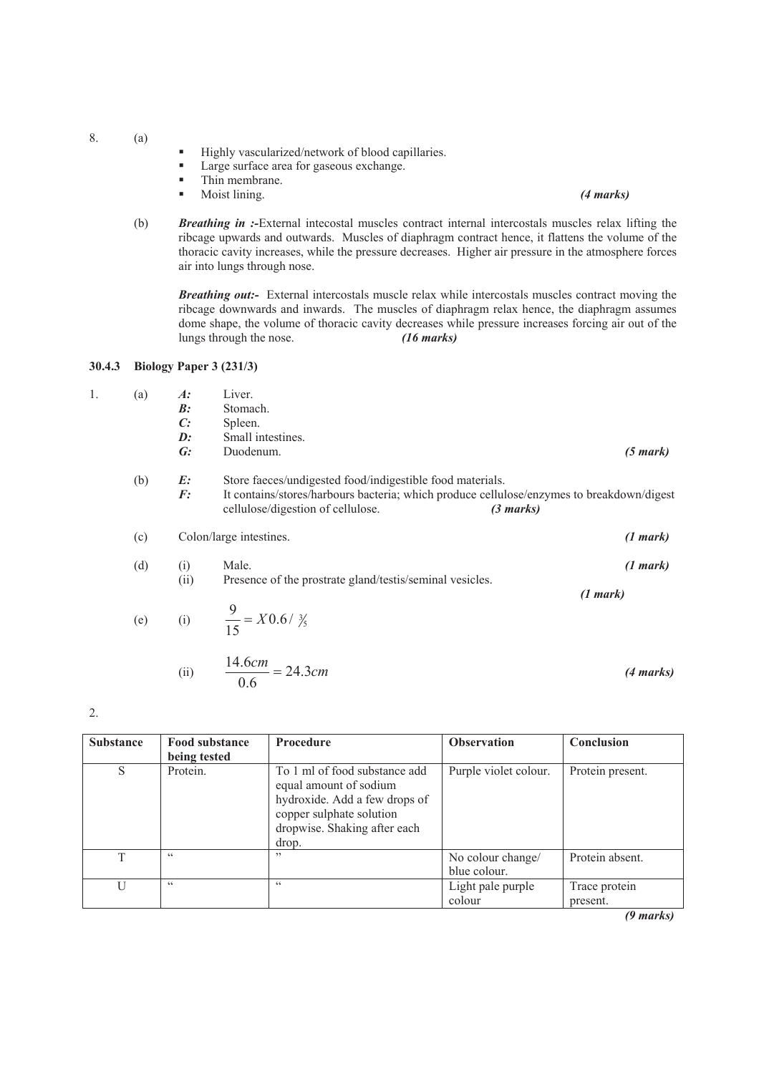8. (a)

- Highly vascularized/network of blood capillaries.<br>■ Large surface area for gaseous exchange
- **Large surface area for gaseous exchange.**<br>Thin membrane
- $\blacksquare$  Thin membrane.

#### Moist lining. *(4 marks)*

(b) *Breathing in :-*External intecostal muscles contract internal intercostals muscles relax lifting the ribcage upwards and outwards. Muscles of diaphragm contract hence, it flattens the volume of the thoracic cavity increases, while the pressure decreases. Higher air pressure in the atmosphere forces air into lungs through nose.

*Breathing out:-* External intercostals muscle relax while intercostals muscles contract moving the ribcage downwards and inwards. The muscles of diaphragm relax hence, the diaphragm assumes dome shape, the volume of thoracic cavity decreases while pressure increases forcing air out of the lungs through the nose.  $(16 \text{ marks})$ lungs through the nose.

#### **30.4.3 Biology Paper 3 (231/3)**

| (a) | $A$ :<br>B:    | Liver.<br>Stomach.                                                                                                             |                     |
|-----|----------------|--------------------------------------------------------------------------------------------------------------------------------|---------------------|
|     | C:             | Spleen.                                                                                                                        |                     |
|     | $\mathbf{D}$ : | Small intestines.                                                                                                              |                     |
|     | G:             | Duodenum.                                                                                                                      | $(5 \text{ mark})$  |
| (b) | E:             | Store faeces/undigested food/indigestible food materials.                                                                      |                     |
|     | F:             | It contains/stores/harbours bacteria; which produce cellulose/enzymes to breakdown/digest<br>cellulose/digestion of cellulose. | $(3 \text{ marks})$ |

# (c) Colon/large intestines. *(1 mark)*

(d) (i) Male. *(1 mark)* (ii) Presence of the prostrate gland/testis/seminal vesicles.

*(1 mark)*

(e) (i) 
$$
\frac{9}{15} = X0.6 / \frac{3}{5}
$$

(ii) 
$$
\frac{14.6cm}{0.6} = 24.3cm
$$
 (4 marks)

2.

| <b>Substance</b> | <b>Food substance</b> | <b>Procedure</b>                                                                                                                                              | <b>Observation</b>                | Conclusion                |
|------------------|-----------------------|---------------------------------------------------------------------------------------------------------------------------------------------------------------|-----------------------------------|---------------------------|
|                  | being tested          |                                                                                                                                                               |                                   |                           |
| S                | Protein.              | To 1 ml of food substance add<br>equal amount of sodium<br>hydroxide. Add a few drops of<br>copper sulphate solution<br>dropwise. Shaking after each<br>drop. | Purple violet colour.             | Protein present.          |
| T                | $\epsilon$            | , 2                                                                                                                                                           | No colour change/<br>blue colour. | Protein absent.           |
|                  | $\epsilon$            | C                                                                                                                                                             | Light pale purple<br>colour       | Trace protein<br>present. |
|                  |                       |                                                                                                                                                               |                                   | (9 marks)                 |